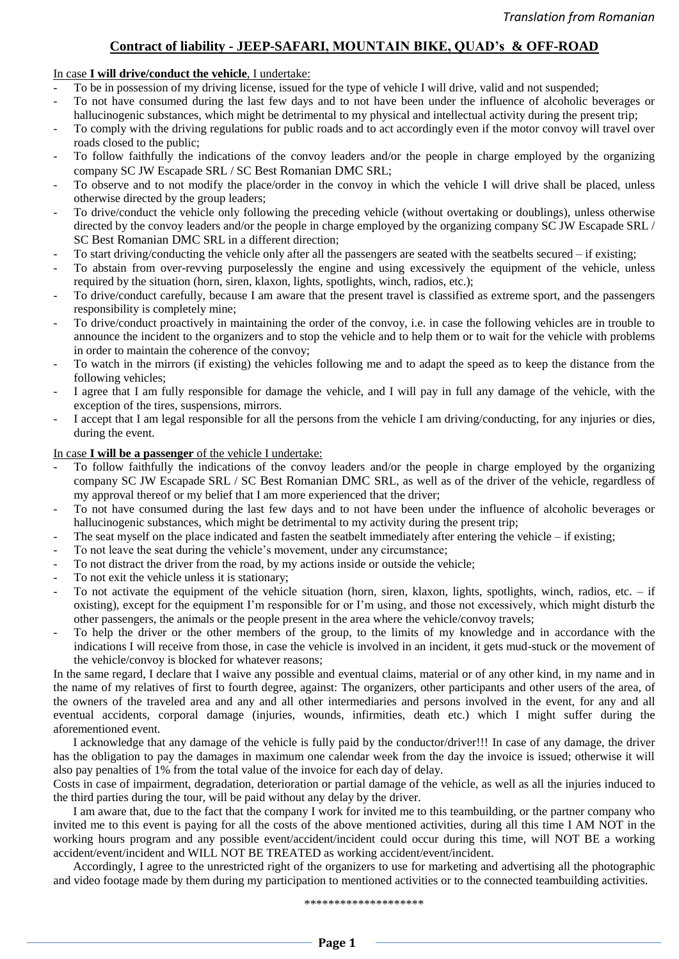## **Contract of liability - JEEP-SAFARI, MOUNTAIN BIKE, QUAD's & OFF-ROAD**

## In case **I will drive/conduct the vehicle**, I undertake:

- To be in possession of my driving license, issued for the type of vehicle I will drive, valid and not suspended;
- To not have consumed during the last few days and to not have been under the influence of alcoholic beverages or hallucinogenic substances, which might be detrimental to my physical and intellectual activity during the present trip;
- To comply with the driving regulations for public roads and to act accordingly even if the motor convoy will travel over roads closed to the public;
- To follow faithfully the indications of the convoy leaders and/or the people in charge employed by the organizing company SC JW Escapade SRL / SC Best Romanian DMC SRL;
- To observe and to not modify the place/order in the convoy in which the vehicle I will drive shall be placed, unless otherwise directed by the group leaders;
- To drive/conduct the vehicle only following the preceding vehicle (without overtaking or doublings), unless otherwise directed by the convoy leaders and/or the people in charge employed by the organizing company SC JW Escapade SRL / SC Best Romanian DMC SRL in a different direction;
- To start driving/conducting the vehicle only after all the passengers are seated with the seatbelts secured if existing;
- To abstain from over-revving purposelessly the engine and using excessively the equipment of the vehicle, unless required by the situation (horn, siren, klaxon, lights, spotlights, winch, radios, etc.);
- To drive/conduct carefully, because I am aware that the present travel is classified as extreme sport, and the passengers responsibility is completely mine;
- To drive/conduct proactively in maintaining the order of the convoy, i.e. in case the following vehicles are in trouble to announce the incident to the organizers and to stop the vehicle and to help them or to wait for the vehicle with problems in order to maintain the coherence of the convoy;
- To watch in the mirrors (if existing) the vehicles following me and to adapt the speed as to keep the distance from the following vehicles;
- I agree that I am fully responsible for damage the vehicle, and I will pay in full any damage of the vehicle, with the exception of the tires, suspensions, mirrors.
- I accept that I am legal responsible for all the persons from the vehicle I am driving/conducting, for any injuries or dies, during the event.

## In case **I will be a passenger** of the vehicle I undertake:

- To follow faithfully the indications of the convoy leaders and/or the people in charge employed by the organizing company SC JW Escapade SRL / SC Best Romanian DMC SRL, as well as of the driver of the vehicle, regardless of my approval thereof or my belief that I am more experienced that the driver;
- To not have consumed during the last few days and to not have been under the influence of alcoholic beverages or hallucinogenic substances, which might be detrimental to my activity during the present trip;
- The seat myself on the place indicated and fasten the seatbelt immediately after entering the vehicle if existing;
- To not leave the seat during the vehicle's movement, under any circumstance;
- To not distract the driver from the road, by my actions inside or outside the vehicle;
- To not exit the vehicle unless it is stationary;
- To not activate the equipment of the vehicle situation (horn, siren, klaxon, lights, spotlights, winch, radios, etc.  $-$  if oxisting), except for the equipment I'm responsible for or I'm using, and those not excessively, which might disturb the other passengers, the animals or the people present in the area where the vehicle/convoy travels;
- To help the driver or the other members of the group, to the limits of my knowledge and in accordance with the indications I will receive from those, in case the vehicle is involved in an incident, it gets mud-stuck or the movement of the vehicle/convoy is blocked for whatever reasons;

In the same regard, I declare that I waive any possible and eventual claims, material or of any other kind, in my name and in the name of my relatives of first to fourth degree, against: The organizers, other participants and other users of the area, of the owners of the traveled area and any and all other intermediaries and persons involved in the event, for any and all eventual accidents, corporal damage (injuries, wounds, infirmities, death etc.) which I might suffer during the aforementioned event.

I acknowledge that any damage of the vehicle is fully paid by the conductor/driver!!! In case of any damage, the driver has the obligation to pay the damages in maximum one calendar week from the day the invoice is issued; otherwise it will also pay penalties of 1% from the total value of the invoice for each day of delay.

Costs in case of impairment, degradation, deterioration or partial damage of the vehicle, as well as all the injuries induced to the third parties during the tour, will be paid without any delay by the driver.

I am aware that, due to the fact that the company I work for invited me to this teambuilding, or the partner company who invited me to this event is paying for all the costs of the above mentioned activities, during all this time I AM NOT in the working hours program and any possible event/accident/incident could occur during this time, will NOT BE a working accident/event/incident and WILL NOT BE TREATED as working accident/event/incident.

Accordingly, I agree to the unrestricted right of the organizers to use for marketing and advertising all the photographic and video footage made by them during my participation to mentioned activities or to the connected teambuilding activities.

\*\*\*\*\*\*\*\*\*\*\*\*\*\*\*\*\*\*\*\*